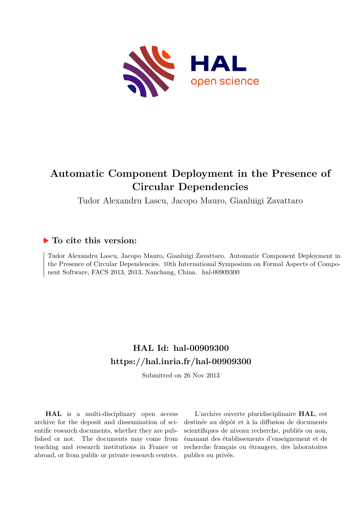

# **Automatic Component Deployment in the Presence of Circular Dependencies**

Tudor Alexandru Lascu, Jacopo Mauro, Gianluigi Zavattaro

# **To cite this version:**

Tudor Alexandru Lascu, Jacopo Mauro, Gianluigi Zavattaro. Automatic Component Deployment in the Presence of Circular Dependencies. 10th International Symposium on Formal Aspects of Component Software, FACS 2013, 2013, Nanchang, China. hal-00909300

# **HAL Id: hal-00909300 <https://hal.inria.fr/hal-00909300>**

Submitted on 26 Nov 2013

**HAL** is a multi-disciplinary open access archive for the deposit and dissemination of scientific research documents, whether they are published or not. The documents may come from teaching and research institutions in France or abroad, or from public or private research centers.

L'archive ouverte pluridisciplinaire **HAL**, est destinée au dépôt et à la diffusion de documents scientifiques de niveau recherche, publiés ou non, émanant des établissements d'enseignement et de recherche français ou étrangers, des laboratoires publics ou privés.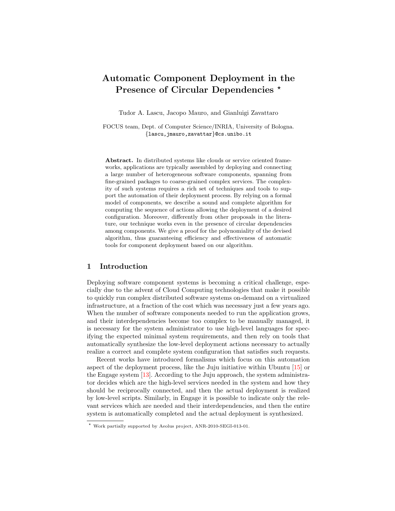# Automatic Component Deployment in the Presence of Circular Dependencies \*

Tudor A. Lascu, Jacopo Mauro, and Gianluigi Zavattaro

FOCUS team, Dept. of Computer Science/INRIA, University of Bologna. {lascu,jmauro,zavattar}@cs.unibo.it

Abstract. In distributed systems like clouds or service oriented frameworks, applications are typically assembled by deploying and connecting a large number of heterogeneous software components, spanning from fine-grained packages to coarse-grained complex services. The complexity of such systems requires a rich set of techniques and tools to support the automation of their deployment process. By relying on a formal model of components, we describe a sound and complete algorithm for computing the sequence of actions allowing the deployment of a desired configuration. Moreover, differently from other proposals in the literature, our technique works even in the presence of circular dependencies among components. We give a proof for the polynomiality of the devised algorithm, thus guaranteeing efficiency and effectiveness of automatic tools for component deployment based on our algorithm.

### 1 Introduction

Deploying software component systems is becoming a critical challenge, especially due to the advent of Cloud Computing technologies that make it possible to quickly run complex distributed software systems on-demand on a virtualized infrastructure, at a fraction of the cost which was necessary just a few years ago. When the number of software components needed to run the application grows, and their interdependencies become too complex to be manually managed, it is necessary for the system administrator to use high-level languages for specifying the expected minimal system requirements, and then rely on tools that automatically synthesize the low-level deployment actions necessary to actually realize a correct and complete system configuration that satisfies such requests.

Recent works have introduced formalisms which focus on this automation aspect of the deployment process, like the Juju initiative within Ubuntu [\[15\]](#page-18-0) or the Engage system [\[13\]](#page-18-1). According to the Juju approach, the system administrator decides which are the high-level services needed in the system and how they should be reciprocally connected, and then the actual deployment is realized by low-level scripts. Similarly, in Engage it is possible to indicate only the relevant services which are needed and their interdependencies, and then the entire system is automatically completed and the actual deployment is synthesized.

<sup>⋆</sup> Work partially supported by Aeolus project, ANR-2010-SEGI-013-01.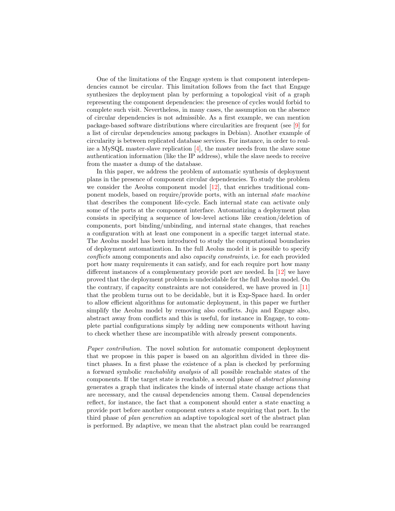One of the limitations of the Engage system is that component interdependencies cannot be circular. This limitation follows from the fact that Engage synthesizes the deployment plan by performing a topological visit of a graph representing the component dependencies: the presence of cycles would forbid to complete such visit. Nevertheless, in many cases, the assumption on the absence of circular dependencies is not admissible. As a first example, we can mention package-based software distributions where circularities are frequent (see [\[9\]](#page-18-2) for a list of circular dependencies among packages in Debian). Another example of circularity is between replicated database services. For instance, in order to realize a MySQL master-slave replication [\[4\]](#page-18-3), the master needs from the slave some authentication information (like the IP address), while the slave needs to receive from the master a dump of the database.

In this paper, we address the problem of automatic synthesis of deployment plans in the presence of component circular dependencies. To study the problem we consider the Aeolus component model [\[12\]](#page-18-4), that enriches traditional component models, based on require/provide ports, with an internal state machine that describes the component life-cycle. Each internal state can activate only some of the ports at the component interface. Automatizing a deployment plan consists in specifying a sequence of low-level actions like creation/deletion of components, port binding/unbinding, and internal state changes, that reaches a configuration with at least one component in a specific target internal state. The Aeolus model has been introduced to study the computational boundaries of deployment automatization. In the full Aeolus model it is possible to specify conflicts among components and also capacity constraints, i.e. for each provided port how many requirements it can satisfy, and for each require port how many different instances of a complementary provide port are needed. In [\[12\]](#page-18-4) we have proved that the deployment problem is undecidable for the full Aeolus model. On the contrary, if capacity constraints are not considered, we have proved in [\[11\]](#page-18-5) that the problem turns out to be decidable, but it is Exp-Space hard. In order to allow efficient algorithms for automatic deployment, in this paper we further simplify the Aeolus model by removing also conflicts. Juju and Engage also, abstract away from conflicts and this is useful, for instance in Engage, to complete partial configurations simply by adding new components without having to check whether these are incompatible with already present components.

Paper contribution. The novel solution for automatic component deployment that we propose in this paper is based on an algorithm divided in three distinct phases. In a first phase the existence of a plan is checked by performing a forward symbolic reachability analysis of all possible reachable states of the components. If the target state is reachable, a second phase of abstract planning generates a graph that indicates the kinds of internal state change actions that are necessary, and the causal dependencies among them. Causal dependencies reflect, for instance, the fact that a component should enter a state enacting a provide port before another component enters a state requiring that port. In the third phase of plan generation an adaptive topological sort of the abstract plan is performed. By adaptive, we mean that the abstract plan could be rearranged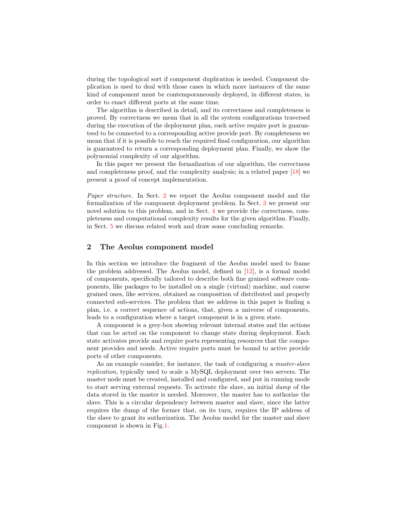during the topological sort if component duplication is needed. Component duplication is used to deal with those cases in which more instances of the same kind of component must be contemporaneously deployed, in different states, in order to enact different ports at the same time.

The algorithm is described in detail, and its correctness and completeness is proved. By correctness we mean that in all the system configurations traversed during the execution of the deployment plan, each active require port is guaranteed to be connected to a corresponding active provide port. By completeness we mean that if it is possible to reach the required final configuration, our algorithm is guaranteed to return a corresponding deployment plan. Finally, we show the polynomial complexity of our algorithm.

In this paper we present the formalization of our algorithm, the correctness and completeness proof, and the complexity analysis; in a related paper [\[18\]](#page-19-0) we present a proof of concept implementation.

Paper structure. In Sect. [2](#page-3-0) we report the Aeolus component model and the formalization of the component deployment problem. In Sect. [3](#page-7-0) we present our novel solution to this problem, and in Sect. [4](#page-14-0) we provide the correctness, completeness and computational complexity results for the given algorithm. Finally, in Sect. [5](#page-16-0) we discuss related work and draw some concluding remarks.

## <span id="page-3-0"></span>2 The Aeolus component model

In this section we introduce the fragment of the Aeolus model used to frame the problem addressed. The Aeolus model, defined in [\[12\]](#page-18-4), is a formal model of components, specifically tailored to describe both fine grained software components, like packages to be installed on a single (virtual) machine, and coarse grained ones, like services, obtained as composition of distributed and properly connected sub-services. The problem that we address in this paper is finding a plan, i.e. a correct sequence of actions, that, given a universe of components, leads to a configuration where a target component is in a given state.

A component is a grey-box showing relevant internal states and the actions that can be acted on the component to change state during deployment. Each state activates provide and require ports representing resources that the component provides and needs. Active require ports must be bound to active provide ports of other components.

As an example consider, for instance, the task of configuring a master-slave replication, typically used to scale a MySQL deployment over two servers. The master node must be created, installed and configured, and put in running mode to start serving external requests. To activate the slave, an initial dump of the data stored in the master is needed. Moreover, the master has to authorize the slave. This is a circular dependency between master and slave, since the latter requires the dump of the former that, on its turn, requires the IP address of the slave to grant its authorization. The Aeolus model for the master and slave component is shown in Fig[.1.](#page-4-0)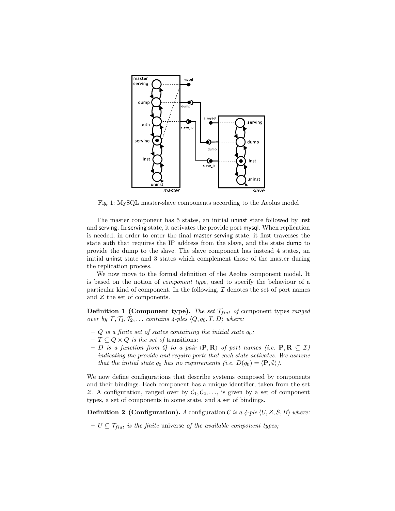<span id="page-4-0"></span>

Fig. 1: MySQL master-slave components according to the Aeolus model

The master component has 5 states, an initial uninst state followed by inst and serving. In serving state, it activates the provide port mysql. When replication is needed, in order to enter the final master serving state, it first traverses the state auth that requires the IP address from the slave, and the state dump to provide the dump to the slave. The slave component has instead 4 states, an initial uninst state and 3 states which complement those of the master during the replication process.

We now move to the formal definition of the Aeolus component model. It is based on the notion of component type, used to specify the behaviour of a particular kind of component. In the following,  $\mathcal I$  denotes the set of port names and  $\mathcal Z$  the set of components.

**Definition 1 (Component type).** The set  $\mathcal{T}_{flat}$  of component types ranged over by  $\mathcal{T}, \mathcal{T}_1, \mathcal{T}_2, \ldots$  contains 4-ples  $\langle Q, q_0, T, D \rangle$  where:

- Q is a finite set of states containing the initial state  $q_0$ ;
- $T \subseteq Q \times Q$  is the set of transitions;
- D is a function from Q to a pair  $\langle P, R \rangle$  of port names (i.e. P, R ⊆ I) indicating the provide and require ports that each state activates. We assume that the initial state  $q_0$  has no requirements (i.e.  $D(q_0) = \langle \mathbf{P}, \emptyset \rangle$ ).

We now define configurations that describe systems composed by components and their bindings. Each component has a unique identifier, taken from the set Z. A configuration, ranged over by  $C_1, C_2, \ldots$ , is given by a set of component types, a set of components in some state, and a set of bindings.

**Definition 2 (Configuration).** A configuration C is a 4-ple  $\langle U, Z, S, B \rangle$  where:

–  $U ⊆ T_{flat}$  is the finite universe of the available component types;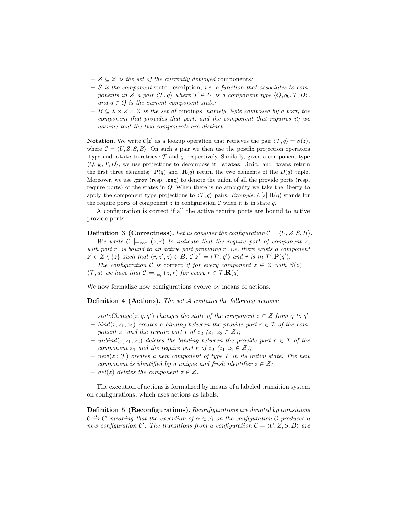- $Z \subseteq \mathcal{Z}$  is the set of the currently deployed components;
- $S$  is the component state description, *i.e.* a function that associates to components in Z a pair  $\langle \mathcal{T}, q \rangle$  where  $\mathcal{T} \in U$  is a component type  $\langle Q, q_0, T, D \rangle$ , and  $q \in Q$  is the current component state;
- $-B \subseteq \mathcal{I} \times Z \times Z$  is the set of bindings, namely 3-ple composed by a port, the component that provides that port, and the component that requires it; we assume that the two components are distinct.

**Notation.** We write  $\mathcal{C}[z]$  as a lookup operation that retrieves the pair  $\langle \mathcal{T}, q \rangle = S(z)$ , where  $\mathcal{C} = \langle U, Z, S, B \rangle$ . On such a pair we then use the postfix projection operators .type and .state to retrieve  $\mathcal T$  and  $q$ , respectively. Similarly, given a component type  $\langle Q, q_0, T, D \rangle$ , we use projections to decompose it: .states, .init, and .trans return the first three elements;  $P(q)$  and  $R(q)$  return the two elements of the  $D(q)$  tuple. Moreover, we use .prov (resp. .req) to denote the union of all the provide ports (resp. require ports) of the states in Q. When there is no ambiguity we take the liberty to apply the component type projections to  $\langle \mathcal{T}, q \rangle$  pairs. *Example*: C[z].R(q) stands for the require ports of component z in configuration  $\mathcal C$  when it is in state  $q$ .

A configuration is correct if all the active require ports are bound to active provide ports.

**Definition 3 (Correctness).** Let us consider the configuration  $\mathcal{C} = \langle U, Z, S, B \rangle$ .

We write  $C \models_{req} (z, r)$  to indicate that the require port of component z, with port  $r$ , is bound to an active port providing  $r$ , i.e. there exists a component  $z' \in Z \setminus \{z\}$  such that  $\langle r, z', z \rangle \in B$ ,  $\mathcal{C}[z'] = \langle \mathcal{T}', q' \rangle$  and r is in  $\mathcal{T}' \cdot \mathbf{P}(q')$ .

The configuration C is correct if for every component  $z \in Z$  with  $S(z) =$  $\langle \mathcal{T}, q \rangle$  we have that  $\mathcal{C} \models_{req} (z, r)$  for every  $r \in \mathcal{T}.\mathbf{R}(q)$ .

We now formalize how configurations evolve by means of actions.

**Definition 4 (Actions).** The set  $A$  contains the following actions:

- $-$  stateChange(z,q,q') changes the state of the component  $z \in \mathcal{Z}$  from q to q'
- $-$  bind(r,  $z_1, z_2$ ) creates a binding between the provide port  $r \in \mathcal{I}$  of the component  $z_1$  and the require port r of  $z_2$   $(z_1, z_2 \in \mathcal{Z})$ ;
- unbind $(r, z_1, z_2)$  deletes the binding between the provide port  $r \in \mathcal{I}$  of the component  $z_1$  and the require port r of  $z_2$  ( $z_1, z_2 \in \mathcal{Z}$ );
- new( $z : \mathcal{T}$ ) creates a new component of type  $\mathcal{T}$  in its initial state. The new component is identified by a unique and fresh identifier  $z \in \mathcal{Z}$ ;
- $del(z)$  deletes the component  $z \in \mathcal{Z}$ .

The execution of actions is formalized by means of a labeled transition system on configurations, which uses actions as labels.

Definition 5 (Reconfigurations). Reconfigurations are denoted by transitions  $\mathcal{C} \stackrel{\alpha}{\to} \mathcal{C}'$  meaning that the execution of  $\alpha \in \mathcal{A}$  on the configuration  $\mathcal{C}$  produces a new configuration  $\mathcal{C}'$ . The transitions from a configuration  $\mathcal{C} = \langle U, Z, S, B \rangle$  are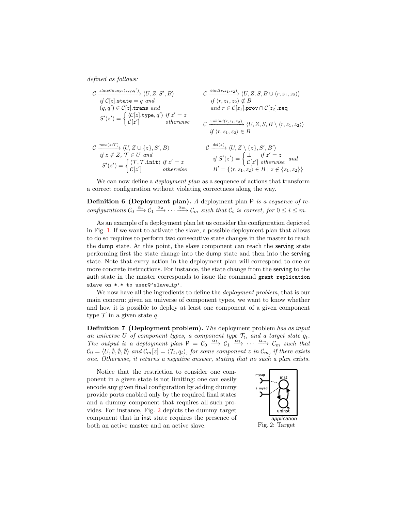defined as follows:

$$
\mathcal{C} \xrightarrow{\text{stateChange}(z,q,q')} \langle U, Z, S', B \rangle
$$
\n
$$
\begin{aligned}\n\mathcal{C} \xrightarrow{\text{stateChange}(z,q,q')} \langle U, Z, S', B \rangle & \mathcal{C} \xrightarrow{\text{bind}(r,z_1,z_2)} \langle U, Z, S, B \cup \langle r, z_1, z_2 \rangle \rangle \\
\text{if } \langle r, z_1, z_2 \rangle \notin B \\
\text{if } \langle r, z_1, z_2 \rangle \notin B \\
\text{and } r \in \mathcal{C}[z_1]. \text{prov } \cap \mathcal{C}[z_2]. \text{req} \\
\text{if } \langle r, z_1, z_2 \rangle \notin B \\
\text{if } \langle r, z_1, z_2 \rangle \notin C[z_1]. \text{prov } \cap \mathcal{C}[z_2]. \text{req} \\
\text{if } \langle r, z_1, z_2 \rangle \in B\n\end{aligned}
$$

$$
\mathcal{C} \xrightarrow{new(z:\mathcal{T})} \langle U, Z \cup \{z\}, S', B \rangle
$$
\n
$$
\mathcal{C} \xrightarrow{det(z)} \langle U, Z \setminus \{z\}, S', B' \rangle
$$
\n
$$
\mathcal{C} \xrightarrow{del(z)} \langle U, Z \setminus \{z\}, S', B' \rangle
$$
\n
$$
\mathcal{C} \xrightarrow{del(z)} \langle U, Z \setminus \{z\}, S', B' \rangle
$$
\n
$$
\mathcal{C} \xrightarrow{d} \langle Z \rangle = \begin{cases} \langle \mathcal{T}, \mathcal{T}.\text{init} \rangle & \text{if } z' = z \\ \mathcal{C}[z'] & \text{otherwise} \end{cases} \text{ and } \mathcal{C} \xrightarrow{d} \langle Z \rangle = \begin{cases} \perp & \text{if } z' = z \\ \mathcal{C}[z'] & \text{otherwise} \end{cases} \text{ and } \mathcal{C} \xrightarrow{d} \langle Z \rangle = \begin{cases} \langle \mathcal{T}, \mathcal{T}.\text{init} \rangle & \text{if } z' = z \\ \langle Z \rangle & \text{otherwise} \end{cases}
$$

We can now define a *deployment plan* as a sequence of actions that transform a correct configuration without violating correctness along the way.

Definition 6 (Deployment plan). A deployment plan P is a sequence of reconfigurations  $\mathcal{C}_0 \xrightarrow{\alpha_1} \mathcal{C}_1 \xrightarrow{\alpha_2} \cdots \xrightarrow{\alpha_m} \mathcal{C}_m$  such that  $\mathcal{C}_i$  is correct, for  $0 \leq i \leq m$ .

As an example of a deployment plan let us consider the configuration depicted in Fig. [1.](#page-4-0) If we want to activate the slave, a possible deployment plan that allows to do so requires to perform two consecutive state changes in the master to reach the dump state. At this point, the slave component can reach the serving state performing first the state change into the dump state and then into the serving state. Note that every action in the deployment plan will correspond to one or more concrete instructions. For instance, the state change from the serving to the auth state in the master corresponds to issue the command grant replication slave on \*.\* to user@'slave\_ip'.

We now have all the ingredients to define the *deployment problem*, that is our main concern: given an universe of component types, we want to know whether and how it is possible to deploy at least one component of a given component type  $\mathcal T$  in a given state q.

Definition 7 (Deployment problem). The deployment problem has as input an universe U of component types, a component type  $\mathcal{T}_t$ , and a target state  $q_t$ . The output is a deployment plan  $P = C_0 \stackrel{\alpha_1}{\longrightarrow} C_1 \stackrel{\alpha_2}{\longrightarrow} \cdots \stackrel{\alpha_m}{\longrightarrow} C_m$  such that  $\mathcal{C}_0 = \langle U, \emptyset, \emptyset, \emptyset \rangle$  and  $\mathcal{C}_m[z] = \langle \mathcal{T}_t, q_t \rangle$ , for some component z in  $\mathcal{C}_m$ , if there exists one. Otherwise, it returns a negative answer, stating that no such a plan exists.

Notice that the restriction to consider one component in a given state is not limiting: one can easily encode any given final configuration by adding dummy provide ports enabled only by the required final states and a dummy component that requires all such provides. For instance, Fig. [2](#page-6-0) depicts the dummy target component that in inst state requires the presence of both an active master and an active slave.

<span id="page-6-0"></span>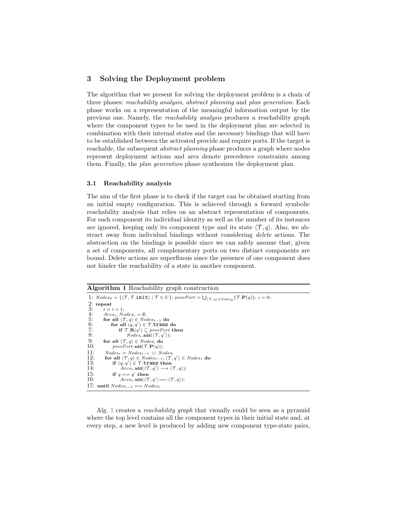## <span id="page-7-0"></span>3 Solving the Deployment problem

The algorithm that we present for solving the deployment problem is a chain of three phases: reachability analysis, abstract planning and plan generation. Each phase works on a representation of the meaningful information output by the previous one. Namely, the reachability analysis produces a reachability graph where the component types to be used in the deployment plan are selected in combination with their internal states and the necessary bindings that will have to be established between the activated provide and require ports. If the target is reachable, the subsequent abstract planning phase produces a graph where nodes represent deployment actions and arcs denote precedence constraints among them. Finally, the plan generation phase synthesizes the deployment plan.

#### 3.1 Reachability analysis

The aim of the first phase is to check if the target can be obtained starting from an initial empty configuration. This is achieved through a forward symbolic reachability analysis that relies on an abstract representation of components. For each component its individual identity as well as the number of its instances are ignored, keeping only its component type and its state  $\langle \mathcal{T}, q \rangle$ . Also, we abstract away from individual bindings without considering delete actions. The abstraction on the bindings is possible since we can safely assume that, given a set of components, all complementary ports on two distinct components are bound. Delete actions are superfluous since the presence of one component does not hinder the reachability of a state in another component.

<span id="page-7-1"></span>Algorithm 1 Reachability graph construction

```
1: Nodes_0 = \{ \langle \mathcal{T}, \mathcal{T}.\texttt{init} \rangle \mid \mathcal{T} \in U \}; \text{ } provPort = \bigcup_{\langle \mathcal{T}, q \rangle \in \text{Nodes}_0} \{ \mathcal{T}.P(q) \}; \text{ } i = 0;2: repeat<br>3: i =3: i = i + 1;<br>4: Arcs : N_i4: \operatorname{Arcs}_i, \operatorname{Nodes}_i = \emptyset;<br>5: for all \langle \mathcal{T}, q \rangle \in \operatorname{No}<br>6: for all (q, q') \in5: for all \langle \mathcal{T}, q \rangle \in Nodes_{i-1} do<br>6: for all (q, q') \in \mathcal{T} trans do
  7: if \mathcal{T}.\mathbf{R}(q') \subseteq \text{provPort} then
  8: Nodes_i \text{.} \text{add}(\langle \mathcal{T}, q' \rangle);9: for all \langle \mathcal{T}, q \rangle \in Nodes_i do <br>10: provPort.add(\mathcal{T}.\mathbf{P}(q)):
10: \text{provPort.add}(\mathcal{T}.\mathbf{P}(q));<br>11: \text{Nodes}_i = \text{Nodes}_{i-1} \cup \text{Ne}11: Nodes_i = Nodes_{i-1} \cup Nodes_i<br>12: for all \langle \mathcal{T}, q \rangle \in Nodes_{i-1}, \langle \mathcal{T},12: for all \langle \mathcal{T}, q \rangle \in Nodes_{i-1}, \langle \mathcal{T}, q' \rangle \in Nodes_i do 13: if (q, q') \in \mathcal{T} trans then
14: \qquad \qquad \text{Arcs}_i.\text{add}(\langle \mathcal{T}, q' \rangle \longrightarrow \langle \mathcal{T}, q \rangle);15: if q == q' then
16: \qquad \qquad \text{Arcs}_i.\texttt{add}(\langle \mathcal{T}, q' \rangle \texttt{......} \langle \mathcal{T}, q \rangle);17: until Nodes_{i-1} == Nodes_i
```
Alg. [1](#page-7-1) creates a reachability graph that visually could be seen as a pyramid where the top level contains all the component types in their initial state and, at every step, a new level is produced by adding new component type-state pairs,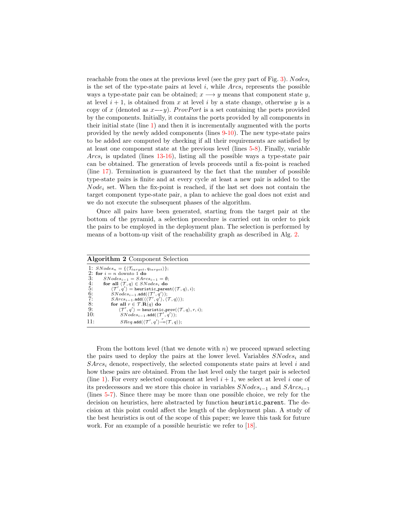reachable from the ones at the previous level (see the grey part of Fig. [3\)](#page-9-0).  $Nodes<sub>i</sub>$ is the set of the type-state pairs at level i, while  $Arcs_i$  represents the possible ways a type-state pair can be obtained;  $x \rightarrow y$  means that component state y, at level  $i + 1$ , is obtained from x at level i by a state change, otherwise y is a copy of x (denoted as  $x \cdots y$ ). ProvPort is a set containing the ports provided by the components. Initially, it contains the ports provided by all components in their initial state (line [1\)](#page-7-1) and then it is incrementally augmented with the ports provided by the newly added components (lines [9-10\)](#page-7-1). The new type-state pairs to be added are computed by checking if all their requirements are satisfied by at least one component state at the previous level (lines [5-8\)](#page-7-1). Finally, variable  $Arcs_i$  is updated (lines [13-16\)](#page-7-1), listing all the possible ways a type-state pair can be obtained. The generation of levels proceeds until a fix-point is reached (line [17\)](#page-7-1). Termination is guaranteed by the fact that the number of possible type-state pairs is finite and at every cycle at least a new pair is added to the  $Node_i$  set. When the fix-point is reached, if the last set does not contain the target component type-state pair, a plan to achieve the goal does not exist and we do not execute the subsequent phases of the algorithm.

Once all pairs have been generated, starting from the target pair at the bottom of the pyramid, a selection procedure is carried out in order to pick the pairs to be employed in the deployment plan. The selection is performed by means of a bottom-up visit of the reachability graph as described in Alg. [2.](#page-8-0)

<span id="page-8-0"></span>

| <b>Algorithm 2</b> Component Selection                                                                                                                                                                                                                                                                                                              |  |  |
|-----------------------------------------------------------------------------------------------------------------------------------------------------------------------------------------------------------------------------------------------------------------------------------------------------------------------------------------------------|--|--|
| 1: $SNodes_n = \{\langle \mathcal{T}_{target}, q_{target} \rangle\};$<br>2: for $i = n$ downto 1 do                                                                                                                                                                                                                                                 |  |  |
| 4:<br>for all $\langle \mathcal{T}, q \rangle \in SNodes_i$ do                                                                                                                                                                                                                                                                                      |  |  |
| $SNodes_{i-1}.add({\langle T', q' \rangle});$                                                                                                                                                                                                                                                                                                       |  |  |
| 8:<br>for all $r \in \mathcal{T}.\mathbf{R}(q)$ do<br>9:<br>$\langle \mathcal{T}', q' \rangle$ = heuristic_prov( $\langle \mathcal{T}, q \rangle, r, i$ );                                                                                                                                                                                          |  |  |
| $SNodes_{i-1}$ .add $(\langle T', q' \rangle)$ ;<br>11:                                                                                                                                                                                                                                                                                             |  |  |
| 3:<br>$SNodes_{i-1} = SArcs_{i-1} = \emptyset$ ;<br>-5:<br>$\langle \mathcal{T}', q' \rangle$ = heuristic_parent( $\langle \mathcal{T}, q \rangle$ , <i>i</i> );<br>$rac{6}{7}$<br>$SArcs_{i-1}$ .add $(\langle\langle T', q'\rangle, \langle T, q\rangle)\rangle$ ;<br>10:<br>$SReg.add(\langle T', q' \rangle \rightarrow \langle T, q \rangle);$ |  |  |

From the bottom level (that we denote with  $n$ ) we proceed upward selecting the pairs used to deploy the pairs at the lower level. Variables  $SNodes<sub>i</sub>$  and  $SArcs_i$  denote, respectively, the selected components state pairs at level i and how these pairs are obtained. From the last level only the target pair is selected (line [1\)](#page-8-0). For every selected component at level  $i + 1$ , we select at level i one of its predecessors and we store this choice in variables  $SNodes_{i-1}$  and  $SArcs_{i-1}$ (lines [5-7\)](#page-8-0). Since there may be more than one possible choice, we rely for the decision on heuristics, here abstracted by function heuristic parent. The decision at this point could affect the length of the deployment plan. A study of the best heuristics is out of the scope of this paper; we leave this task for future work. For an example of a possible heuristic we refer to [\[18\]](#page-19-0).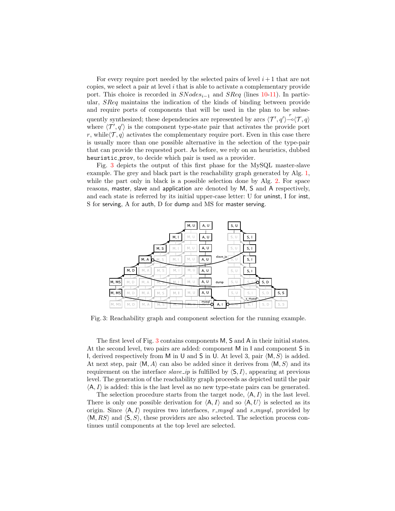For every require port needed by the selected pairs of level  $i+1$  that are not copies, we select a pair at level  $i$  that is able to activate a complementary provide port. This choice is recorded in  $SNodes_{i-1}$  and  $SReg$  (lines [10-11\)](#page-8-0). In particular, SReq maintains the indication of the kinds of binding between provide and require ports of components that will be used in the plan to be subsequently synthesized; these dependencies are represented by arcs  $\langle \mathcal{T}', q' \rangle \stackrel{r}{\multimap} \langle \mathcal{T}, q \rangle$ where  $\langle T', q' \rangle$  is the component type-state pair that activates the provide port r, while $\langle \mathcal{T}, q \rangle$  activates the complementary require port. Even in this case there is usually more than one possible alternative in the selection of the type-pair that can provide the requested port. As before, we rely on an heuristics, dubbed heuristic prov, to decide which pair is used as a provider.

Fig. [3](#page-9-0) depicts the output of this first phase for the MySQL master-slave example. The grey and black part is the reachability graph generated by Alg. [1,](#page-7-1) while the part only in black is a possible selection done by Alg. [2.](#page-8-0) For space reasons, master, slave and application are denoted by M, S and A respectively, and each state is referred by its initial upper-case letter: U for uninst, I for inst, S for serving, A for auth, D for dump and MS for master serving.

<span id="page-9-0"></span>

Fig. 3: Reachability graph and component selection for the running example.

The first level of Fig. [3](#page-9-0) contains components M, S and A in their initial states. At the second level, two pairs are added: component M in I and component S in I, derived respectively from M in U and S in U. At level 3, pair  $\langle M, S \rangle$  is added. At next step, pair  $\langle M, A \rangle$  can also be added since it derives from  $\langle M, S \rangle$  and its requirement on the interface slave ip is fulfilled by  $\langle S, I \rangle$ , appearing at previous level. The generation of the reachability graph proceeds as depicted until the pair  $\langle A, I \rangle$  is added: this is the last level as no new type-state pairs can be generated.

The selection procedure starts from the target node,  $\langle A, I \rangle$  in the last level. There is only one possible derivation for  $\langle A, I \rangle$  and so  $\langle A, U \rangle$  is selected as its origin. Since  $\langle A, I \rangle$  requires two interfaces, r *mysql* and s *mysql*, provided by  $\langle M, RS \rangle$  and  $\langle S, S \rangle$ , these providers are also selected. The selection process continues until components at the top level are selected.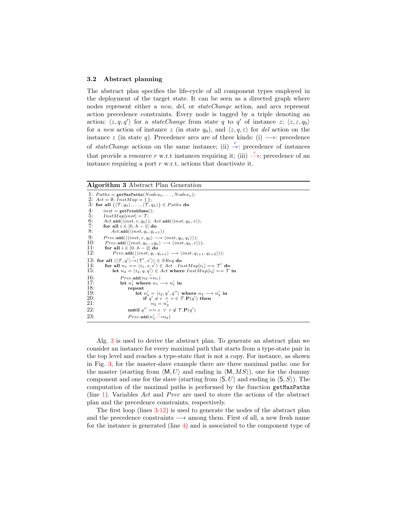#### 3.2 Abstract planning

The abstract plan specifies the life-cycle of all component types employed in the deployment of the target state. It can be seen as a directed graph where nodes represent either a new, del, or stateChange action, and arcs represent action precedence constraints. Every node is tagged by a triple denoting an action:  $\langle z, q, q' \rangle$  for a *stateChange* from state q to q' of instance  $z$ ;  $\langle z, \varepsilon, q_0 \rangle$ for a new action of instance z (in state  $q_0$ ), and  $\langle z, q, \varepsilon \rangle$  for del action on the instance z (in state q). Precedence arcs are of three kinds: (i)  $\longrightarrow$ : precedence of stateChange actions on the same instance; (ii)  $\stackrel{r}{\rightarrow}$ : precedence of instances that provide a resource r w.r.t instances requiring it; (iii)  $\frac{r}{\epsilon}$ : precedence of an instance requiring a port  $r$  w.r.t. actions that deactivate it.

#### <span id="page-10-0"></span>Algorithm 3 Abstract Plan Generation

|     | 1: $Paths = \text{getMaxPaths}(Nodes_0, \ldots, Nodes_n);$                                                               |
|-----|--------------------------------------------------------------------------------------------------------------------------|
|     | 2: $Act = \emptyset$ ; $InstMap = \{\}$ ;                                                                                |
|     | 3: for all $({\langle} \mathcal{T}, q_0 {\rangle}, \ldots, {\langle} \mathcal{T}, q_h {\rangle}) \in Paths$ do           |
| 4:  | $inst = getFreshName();$                                                                                                 |
| 5:  | $InstMap[inst] = T;$                                                                                                     |
| 6:  | $Act.\text{add}(\langle inst, \varepsilon, q_0 \rangle); \text{Act}.\text{add}(\langle inst, q_h, \varepsilon \rangle);$ |
| 7:  | for all $i \in [0h-1]$ do                                                                                                |
| 8:  | $Act.add(\langle inst, q_i, q_{i+1}\rangle)$                                                                             |
| 9:  | $Prec.add(\langle inst, \varepsilon, q_0 \rangle \longrightarrow \langle inst, q_0, q_1 \rangle));$                      |
| 10: | $Prec.add(\langle \langle inst, q_{h-1}q_h \rangle \longrightarrow \langle inst, q_h, \varepsilon \rangle))$ ;           |
| 11: | for all $i \in [0h-2]$ do                                                                                                |
| 12: | $Prec.add(\langle inst, q_i, q_{i+1} \rangle \longrightarrow \langle inst, q_{i+1}, q_{i+2} \rangle));$                  |
| 13: | for all $\langle \langle \mathcal{T}, q' \rangle_{-\infty}^{r} \langle \mathcal{T}', s' \rangle \rangle \in SReq$ do     |
| 14: | for all $n_1 = \langle i_1, s, s' \rangle \in Act$ . $InstMap[i_1] == \mathcal{T}'$ do                                   |
| 15: | let $n_2 = \langle i_2, q, q' \rangle \in Act$ where $InstMap[i_2] == \mathcal{T}$ in                                    |
| 16: | $Prec.add(n_2 \rightarrow n_1)$                                                                                          |
| 17: | let $n'_1$ where $n_1 \longrightarrow n'_1$ in                                                                           |
| 18: | repeat                                                                                                                   |
| 19: | let $n'_2 = \langle i_2, q', q'' \rangle$ where $n_2 \longrightarrow n'_2$ in                                            |
| 20: | if $q' \neq \varepsilon \wedge r \in \mathcal{T}.\mathbf{P}(q')$ then                                                    |
| 21: | $n_2 = n'_2$                                                                                                             |
| 22: | until $q'' == \varepsilon \lor r \notin \mathcal{T}.\mathbf{P}(q')$                                                      |
| 23: | $Prec.add(n'_1 - \rightarrow n_2)$                                                                                       |
|     |                                                                                                                          |

Alg. [3](#page-10-0) is used to derive the abstract plan. To generate an abstract plan we consider an instance for every maximal path that starts from a type-state pair in the top level and reaches a type-state that is not a copy. For instance, as shown in Fig. [3,](#page-9-0) for the master-slave example there are three maximal paths: one for the master (starting from  $\langle M, U \rangle$  and ending in  $\langle M, MS \rangle$ ), one for the dummy component and one for the slave (starting from  $\langle S, U \rangle$  and ending in  $\langle S, S \rangle$ ). The computation of the maximal paths is performed by the function getMaxPaths (line [1\)](#page-10-0). Variables Act and Prec are used to store the actions of the abstract plan and the precedence constraints, respectively.

The first loop (lines [3-12\)](#page-10-0) is used to generate the nodes of the abstract plan and the precedence constraints  $\longrightarrow$  among them. First of all, a new fresh name for the instance is generated (line [4\)](#page-10-0) and is associated to the component type of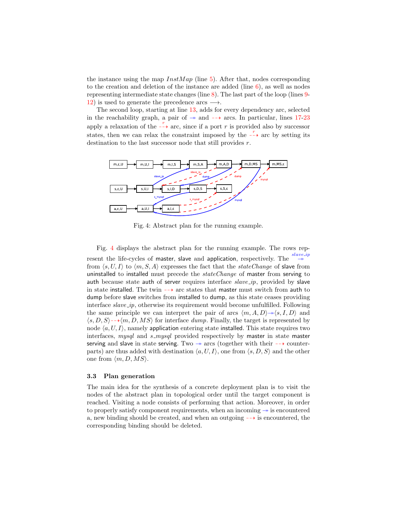the instance using the map  $InstMap$  (line [5\)](#page-10-0). After that, nodes corresponding to the creation and deletion of the instance are added (line  $6$ ), as well as nodes representing intermediate state changes (line [8\)](#page-10-0). The last part of the loop (lines [9-](#page-10-0) [12\)](#page-10-0) is used to generate the precedence arcs  $\longrightarrow$ .

The second loop, starting at line [13,](#page-10-0) adds for every dependency arc, selected in the reachability graph, a pair of  $\rightarrow$  and  $\rightarrow$  arcs. In particular, lines [17-23](#page-10-0) apply a relaxation of the  $\frac{r}{r-2}$  arc, since if a port r is provided also by successor states, then we can relax the constraint imposed by the  $\frac{r}{\sqrt{2}}$  arc by setting its destination to the last successor node that still provides r.

<span id="page-11-0"></span>

Fig. 4: Abstract plan for the running example.

Fig. [4](#page-11-0) displays the abstract plan for the running example. The rows represent the life-cycles of master, slave and application, respectively. The slave ip  $\stackrel{ve}{\rightarrow}$ from  $\langle s, U, I \rangle$  to  $\langle m, S, A \rangle$  expresses the fact that the stateChange of slave from uninstalled to installed must precede the *stateChange* of master from serving to auth because state auth of server requires interface  $slave_i$ , provided by slave in state installed. The twin  $-\rightarrow$  arc states that master must switch from auth to dump before slave switches from installed to dump, as this state ceases providing interface  $slave\_ip$ , otherwise its requirement would become unfulfilled. Following the same principle we can interpret the pair of arcs  $\langle m, A, D \rangle \rightarrow \langle s, I, D \rangle$  and  $\langle s, D, S \rangle \rightarrow \langle m, D, MS \rangle$  for interface dump. Finally, the target is represented by node  $\langle a, U, I \rangle$ , namely application entering state installed. This state requires two interfaces, mysql and s\_mysql provided respectively by master in state master serving and slave in state serving. Two  $\rightarrow \arcsin \left( \text{together with their } -\rightarrow \text{counter-} \right)$ parts) are thus added with destination  $\langle a, U, I \rangle$ , one from  $\langle s, D, S \rangle$  and the other one from  $\langle m, D, MS \rangle$ .

#### 3.3 Plan generation

The main idea for the synthesis of a concrete deployment plan is to visit the nodes of the abstract plan in topological order until the target component is reached. Visiting a node consists of performing that action. Moreover, in order to properly satisfy component requirements, when an incoming  $\rightarrow$  is encountered a, new binding should be created, and when an outgoing  $-\rightarrow$  is encountered, the corresponding binding should be deleted.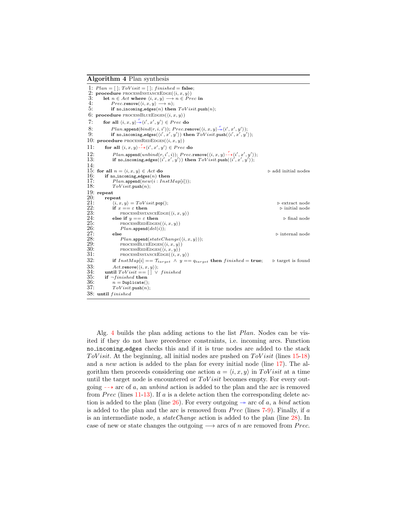<span id="page-12-0"></span>Algorithm 4 Plan synthesis

1:  $Plan = []$ ;  $ToVisit = []$ ;  $finished = false;$ <br>?: procedure processive processive  $Encv((i, x, y))$ 2: procedure PROCESSINSTANCEEDGE( $\langle i, x, y \rangle$ )<br>3: let  $n \in Act$  where  $\langle i, x, y \rangle \longrightarrow n \in Pr$ 3: let  $n \in Act$  where  $\langle i, x, y \rangle \longrightarrow n \in Prec$  in<br>4:  $Prec$  remove $(\langle i, x, y \rangle \longrightarrow n);$ 4:  $Prec$ .remove $(\langle i, x, y \rangle \longrightarrow n);$ <br>5: if no\_incoming\_edges(n) then if no\_incoming\_edges(n) then  $ToVisit.push(n);$ 6: procedure PROCESSBLUEEDGES $(\langle i, x, y \rangle)$ 7: for all  $\langle i, x, y \rangle \rightarrow{\pi} \langle i', x', y' \rangle \in \text{Prec do}$ 8:  $Plan.append(bind(r, i, i'))$ ;  $Prec$ .remove $(\langle i, x, y \rangle \rightarrow \langle i', x', y' \rangle)$ ; 9: if no\_incoming\_edges( $\langle i', x', y' \rangle$ ) then  $\hat{ToVisit}$  push $(\langle i', x', y' \rangle)$ ; 10: procedure PROCESSREDEDGES $(\langle i, x, y \rangle)$ 11: for all  $\langle i, x, y \rangle \rightarrow \langle i', x', y' \rangle \in \text{Prec do}$ 12: Plan.append(unbind(r, i', i)); Prec.remove( $\langle i, x, y \rangle - \frac{r}{r} \langle i', x', y' \rangle$ );<br>13: if no\_incoming\_edges( $\langle i', x', y' \rangle$ ) then  $ToVisit.push(\langle i', x', y')$ ); 14: 15: for all  $n = \langle i, x, y \rangle \in Act$  do ⊳ add initial nodes and initial nodes and initial nodes and initial nodes and initial nodes and initial nodes and initial nodes and initial nodes and initial nodes and initial nodes and ini 16: if no incoming edges  $(n)$  then<br>17: Plan appending  $n(i)$ : Inst. 17:  $Plan.append(new(i : InstMap[i]);$ <br>18:  $ToVisit.push(n);$  $ToVisit.\texttt{push}(n);$ 19:  $repest$ <br>20:  $repe$ 20: repeat<br>21:  $\langle i, x \rangle$ 21:  $\langle i, x, y \rangle = ToVisit.pop();$   $\triangleright$  extract node<br>22:  $\qquad \qquad \text{if } x == \varepsilon \text{ then}$   $\qquad \qquad \triangleright$  initial node 22: if  $x == \varepsilon$  then<br>23: PROCESSINSTA 23: PROCESSINSTANCEEDGE( $\langle i, x, y \rangle$ )<br>
24: else if  $y == \varepsilon$  then 24: else if  $y == \varepsilon$  then  $\triangleright$  final node  $\frac{25}{25}$ :  $\triangleright$  final node 25: PROCESSREDEDGES $(i, x, y)$ <br>
26: Plan.append $(det(i));$ <br>
27: else  $Plan.append(det(i));$ else 27: else  $\frac{11}{28}$  else  $\frac{11}{28}$  internal node  $\frac{11}{28}$  internal node 28: Plan.append(stateChange( $\langle i, x, y \rangle$ ));<br>29: PROCESSBLUEEDGES( $\langle i, x, y \rangle$ )) 29: PROCESSBLUEEDGES( $\langle i, x, y \rangle$ )<br>30: PROCESSREDEDGES( $\langle i, x, y \rangle$ ) 30: PROCESSREDEDGES $(i, x, y)$ <br>31: PROCESSINSTANCEEDGE $(i, x)$ PROCESSINSTANCEEDGE $(\langle i, x, y \rangle)$ 32: if  $InstMap[i] == T_{target} \wedge y == q_{target}$  then  $finiished = true;$  > target is found 33:  $Act.\mathtt{remove}(\langle i, x, y \rangle);$ <br>34:  $\textrm{until } ToVisit == [\ ] \ \lor$ 34: until  $ToVisit == [] \vee finished$ <br>35: if  $\neg finished$  then 35: if  $\neg finished$  then<br>36:  $n = \text{Duplicate}()$ 36:  $n = \text{Dupiter}();$ <br>37:  $ToVisit.push(n)$  $\operatorname{\mathit{To}}\operatorname{\mathit{Visit}}$  .push(n);  $38:$  until  $finished$ 

Alg. [4](#page-12-0) builds the plan adding actions to the list Plan. Nodes can be visited if they do not have precedence constraints, i.e. incoming arcs. Function no incoming edges checks this and if it is true nodes are added to the stack ToV isit. At the beginning, all initial nodes are pushed on  $T_oV\$ isit (lines [15-18\)](#page-12-0) and a new action is added to the plan for every initial node (line [17\)](#page-12-0). The algorithm then proceeds considering one action  $a = \langle i, x, y \rangle$  in ToV *isit* at a time until the target node is encountered or  $ToVisit$  becomes empty. For every outgoing  $-\rightarrow$  arc of a, an unbind action is added to the plan and the arc is removed from  $Prec$  (lines [11-13\)](#page-12-0). If a is a delete action then the corresponding delete ac-tion is added to the plan (line [26\)](#page-12-0). For every outgoing  $\rightarrow$  arc of a, a bind action is added to the plan and the arc is removed from  $Prec$  (lines  $7-9$ ). Finally, if a is an intermediate node, a stateChange action is added to the plan (line [28\)](#page-12-0). In case of new or state changes the outgoing  $\rightarrow$  arcs of n are removed from Prec.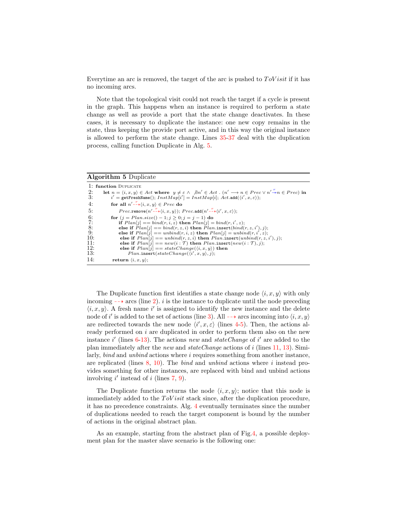Everytime an arc is removed, the target of the arc is pushed to  $To Visit$  if it has no incoming arcs.

Note that the topological visit could not reach the target if a cycle is present in the graph. This happens when an instance is required to perform a state change as well as provide a port that the state change deactivates. In these cases, it is necessary to duplicate the instance: one new copy remains in the state, thus keeping the provide port active, and in this way the original instance is allowed to perform the state change. Lines [35-37](#page-12-0) deal with the duplication process, calling function Duplicate in Alg. [5.](#page-13-0)

#### <span id="page-13-0"></span>Algorithm 5 Duplicate

|     | 1: function DUPLICATE                                                                                                                                           |
|-----|-----------------------------------------------------------------------------------------------------------------------------------------------------------------|
| 2:  | let $n = \langle i, x, y \rangle \in Act$ where $y \neq \varepsilon \land \exists n' \in Act$ . $(n' \rightarrow n \in Prec \lor n' \rightarrow n \in Prec)$ in |
| 3:  | $i' =$ getFreshName(); $InstMap[i'] = InstMap[i]$ ; $Act.add(\langle i', x, \varepsilon \rangle);$                                                              |
| 4:  | for all $n'$ -- $\rightarrow$ $\langle i, x, y \rangle \in Prec$ do                                                                                             |
| -5: | $Prec.\mathtt{remove}(n' \rightarrow i, x, y)); \text{ } Prec.\mathtt{add}(n' \rightarrow i', x, \varepsilon));$                                                |
| 6:  | for $(j = Plan.size() - 1; j > 0; j = j - 1)$ do                                                                                                                |
| 7:  | if $Plan[j] == bind(r, i, z)$ then $Plan[j] = bind(r, i', z)$ ;                                                                                                 |
| -8: | else if $Plan[j] == bind(r, z, i)$ then $Plan.insert(bind(r, z, i'), j);$                                                                                       |
| 9:  | else if $Plan[j] == unbind(r, i, z)$ then $Plan[j] = unbind(r, i', z);$                                                                                         |
| 10: | else if $Plan[j] == unbind(r, z, i)$ then $Plan.insert(unbind(r, z, i'), j);$                                                                                   |
| 11: | else if $Plan[j] == new(i : \mathcal{T})$ then $Plan.insert(new(i : \mathcal{T}), j);$                                                                          |
| 12: | else if $Plan[j] == stateChange(\langle i, x, y \rangle)$ then                                                                                                  |
| 13: | $Plan.\text{insert}(stateChange(\langle i', x, y \rangle, j));$                                                                                                 |
| 14: | return $\langle i, x, y \rangle$ ;                                                                                                                              |
|     |                                                                                                                                                                 |

The Duplicate function first identifies a state change node  $\langle i, x, y \rangle$  with only incoming  $-\rightarrow$  arcs (line [2\)](#page-13-0). i is the instance to duplicate until the node preceding  $\langle i, x, y \rangle$ . A fresh name i' is assigned to identify the new instance and the delete node of i' is added to the set of actions (line [3\)](#page-13-0). All  $-\rightarrow$  arcs incoming into  $\langle i, x, y \rangle$ are redirected towards the new node  $\langle i', x, \varepsilon \rangle$  (lines [4-5\)](#page-13-0). Then, the actions already performed on  $i$  are duplicated in order to perform them also on the new instance i' (lines  $6-13$ ). The actions new and stateChange of i' are added to the plan immediately after the new and  $stateChange$  actions of i (lines [11,](#page-13-0) [13\)](#page-13-0). Similarly, bind and unbind actions where i requires something from another instance, are replicated (lines  $8, 10$  $8, 10$ ). The *bind* and unbind actions where i instead provides something for other instances, are replaced with bind and unbind actions involving  $i'$  instead of  $i$  (lines [7,](#page-13-0) [9\)](#page-13-0).

The Duplicate function returns the node  $\langle i, x, y \rangle$ ; notice that this node is immediately added to the  $T oV isit$  stack since, after the duplication procedure, it has no precedence constraints. Alg. [4](#page-12-0) eventually terminates since the number of duplications needed to reach the target component is bound by the number of actions in the original abstract plan.

As an example, starting from the abstract plan of Fig[.4,](#page-11-0) a possible deployment plan for the master slave scenario is the following one: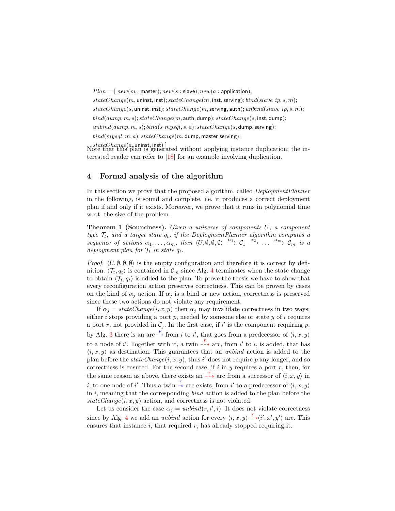$Plan = [new(m : master); new(s : slave); new(a : application);$  $stateChange(m, \text{uninst}; stateChange(m, \text{inst};)$ ;  $stateChange(m, \text{inst}, \text{seving}); bind(slave\_ip, s, m);$  $stateChange(s, \text{uninst}, \text{inst}); stateChange(m, \text{seving}, \text{auth}); unbind(slove\_ip, s, m);$  $bind(dump, m, s); stateChange(m, \text{auth}, \text{dump}); stateChange(s, \text{inst}, \text{dump});$  $unbind(dump, m, s); bind(s_mysql, s, a); stateChange(s, \text{dump}, \text{seving});$  $bind(mysql, m, a); stateChange(m, dump, master serving);$ 

stateChange(a, uninst, inst) ] Note that this plan is generated without applying instance duplication; the interested reader can refer to [\[18\]](#page-19-0) for an example involving duplication.

## <span id="page-14-0"></span>4 Formal analysis of the algorithm

In this section we prove that the proposed algorithm, called DeploymentPlanner in the following, is sound and complete, i.e. it produces a correct deployment plan if and only if it exists. Moreover, we prove that it runs in polynomial time w.r.t. the size of the problem.

<span id="page-14-1"></span>Theorem 1 (Soundness). Given a universe of components U, a component type  $\mathcal{T}_t$ , and a target state  $q_t$ , if the DeploymentPlanner algorithm computes a sequence of actions  $\alpha_1, \ldots, \alpha_m$ , then  $\langle U, \emptyset, \emptyset, \emptyset \rangle \stackrel{\alpha_1}{\longrightarrow} C_1 \stackrel{\alpha_2}{\longrightarrow} \ldots \stackrel{\alpha_m}{\longrightarrow} \mathcal{C}_m$  is a deployment plan for  $\mathcal{T}_t$  in state  $q_t$ .

*Proof.*  $(U, \emptyset, \emptyset, \emptyset)$  is the empty configuration and therefore it is correct by definition.  $\langle \mathcal{T}_t, q_t \rangle$  is contained in  $\mathcal{C}_m$  since Alg. [4](#page-12-0) terminates when the state change to obtain  $\langle \mathcal{T}_t, q_t \rangle$  is added to the plan. To prove the thesis we have to show that every reconfiguration action preserves correctness. This can be proven by cases on the kind of  $\alpha_i$  action. If  $\alpha_j$  is a bind or new action, correctness is preserved since these two actions do not violate any requirement.

If  $\alpha_i = stateChange(i, x, y)$  then  $\alpha_i$  may invalidate correctness in two ways: either  $i$  stops providing a port  $p$ , needed by someone else or state  $y$  of  $i$  requires a port r, not provided in  $\mathcal{C}_j$ . In the first case, if i' is the component requiring p, by Alg. [3](#page-10-0) there is an arc  $\stackrel{p}{\rightarrow}$  from i to i', that goes from a predecessor of  $\langle i, x, y \rangle$ to a node of i'. Together with it, a twin  $\frac{p}{\sqrt{p}}$  arc, from i' to i, is added, that has  $\langle i, x, y \rangle$  as destination. This guarantees that an unbind action is added to the plan before the  $stateChange(i, x, y)$ , thus i' does not require p any longer, and so correctness is ensured. For the second case, if  $i$  in  $y$  requires a port  $r$ , then, for the same reason as above, there exists an  $\frac{r}{\sqrt{2}}$  arc from a successor of  $\langle i, x, y \rangle$  in i, to one node of i'. Thus a twin  $\stackrel{r}{\rightarrow}$  arc exists, from i' to a predecessor of  $\langle i, x, y \rangle$ in  $i$ , meaning that the corresponding *bind* action is added to the plan before the  $stateChange(i, x, y)$  action, and correctness is not violated.

Let us consider the case  $\alpha_j = unbind(r, i', i)$ . It does not violate correctness since by Alg. [4](#page-12-0) we add an *unbind* action for every  $\langle i, x, y \rangle \sim \rightarrow \langle i', x', y' \rangle$  arc. This ensures that instance  $i$ , that required  $r$ , has already stopped requiring it.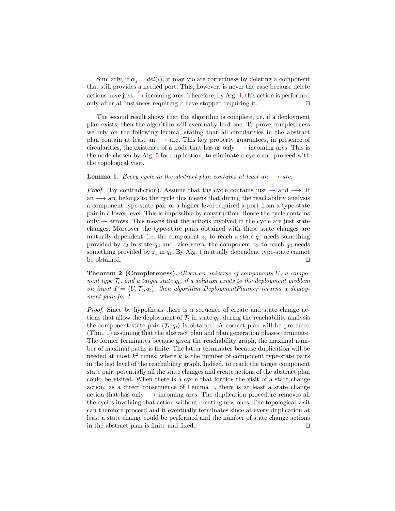Similarly, if  $\alpha_i = del(i)$ , it may violate correctness by deleting a component that still provides a needed port. This, however, is never the case because delete actions have just  $\frac{r}{r-1}$  incoming arcs. Therefore, by Alg. [4,](#page-12-0) this action is performed only after all instances requiring r have stopped requiring it.  $□$ 

The second result shows that the algorithm is complete, i.e. if a deployment plan exists, then the algorithm will eventually find one. To prove completeness we rely on the following lemma, stating that all circularities in the abstract plan contain at least an  $-\rightarrow$  arc. This key property guarantees, in presence of circularities, the existence of a node that has as only  $-\rightarrow$  incoming arcs. This is the node chosen by Alg. [5](#page-13-0) for duplication, to eliminate a cycle and proceed with the topological visit.

#### <span id="page-15-0"></span>**Lemma 1.** Every cycle in the abstract plan contains at least an  $\rightarrow$  arc.

*Proof.* (By contradiction). Assume that the cycle contains just  $\rightarrow$  and  $\rightarrow$ . If an  $\rightarrow$  arc belongs to the cycle this means that during the reachability analysis a component type-state pair of a higher level required a port from a type-state pair in a lower level. This is impossible by construction. Hence the cycle contains only  $\rightarrow$  arrows. This means that the actions involved in the cycle are just state changes. Moreover the type-state pairs obtained with these state changes are mutually dependent, i.e. the component  $z_1$  to reach a state  $q_1$  needs something provided by  $z_2$  in state  $q_2$  and, vice versa, the component  $z_2$  to reach  $q_2$  needs something provided by  $z_1$  $z_1$  in  $q_1$ . By Alg. 1 mutually dependent type-state cannot be obtained. ⊓⊔

Theorem 2 (Completeness). Given an universe of components U, a component type  $\mathcal{T}_t$ , and a target state  $q_t$ , if a solution exists to the deployment problem on input  $I = (U, \mathcal{T}_t, q_t)$ , then algorithm DeploymentPlanner returns a deployment plan for I.

Proof. Since by hypothesis there is a sequence of create and state change actions that allow the deployment of  $\mathcal{T}_t$  in state  $q_t$ , during the reachability analysis the component state pair  $\langle \mathcal{T}_t, q_t \rangle$  is obtained. A correct plan will be produced (Thm. [1\)](#page-14-1) assuming that the abstract plan and plan generation phases terminate. The former terminates because given the reachability graph, the maximal number of maximal paths is finite. The latter terminates because duplication will be needed at most  $k^2$  times, where k is the number of component type-state pairs in the last level of the reachability graph. Indeed, to reach the target component state pair, potentially all the state changes and create actions of the abstract plan could be visited. When there is a cycle that forbids the visit of a state change action, as a direct consequence of Lemma [1,](#page-15-0) there is at least a state change action that has only  $-\rightarrow$  incoming arcs. The duplication procedure removes all the cycles involving that action without creating new ones. The topological visit can therefore proceed and it eventually terminates since at every duplication at least a state change could be performed and the number of state change actions in the abstract plan is finite and fixed. ⊓⊔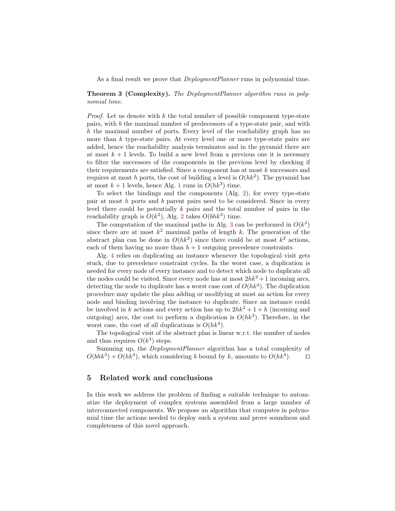As a final result we prove that *DeploymentPlanner* runs in polynomial time.

Theorem 3 (Complexity). The DeploymentPlanner algorithm runs in polynomial time.

*Proof.* Let us denote with k the total number of possible component type-state pairs, with b the maximal number of predecessors of a type-state pair, and with h the maximal number of ports. Every level of the reachability graph has no more than k type-state pairs. At every level one or more type-state pairs are added, hence the reachability analysis terminates and in the pyramid there are at most  $k + 1$  levels. To build a new level from a previous one it is necessary to filter the successors of the components in the previous level by checking if their requirements are satisfied. Since a component has at most k successors and requires at most h ports, the cost of building a level is  $O(hk^2)$ . The pyramid has at most  $k + 1$  $k + 1$  levels, hence Alg. 1 runs in  $O(hk^3)$  time.

To select the bindings and the components (Alg. [2\)](#page-8-0), for every type-state pair at most h ports and b parent pairs need to be considered. Since in every level there could be potentially k pairs and the total number of pairs in the reachability graph is  $O(k^2)$  $O(k^2)$  $O(k^2)$ , Alg. 2 takes  $O(bhk^3)$  time.

The computation of the maximal paths in Alg. [3](#page-10-0) can be performed in  $O(k^3)$ since there are at most  $k^2$  maximal paths of length k. The generation of the abstract plan can be done in  $O(hk^2)$  since there could be at most  $k^2$  actions, each of them having no more than  $h + 1$  outgoing precedence constraints.

Alg. [4](#page-12-0) relies on duplicating an instance whenever the topological visit gets stuck, due to precedence constraint cycles. In the worst case, a duplication is needed for every node of every instance and to detect which node to duplicate all the nodes could be visited. Since every node has at most  $2hk^2 + 1$  incoming arcs, detecting the node to duplicate has a worst case cost of  $O(hk^4)$ . The duplication procedure may update the plan adding or modifying at most an action for every node and binding involving the instance to duplicate. Since an instance could be involved in k actions and every action has up to  $2hk^2 + 1 + h$  (incoming and outgoing) arcs, the cost to perform a duplication is  $O(hk^3)$ . Therefore, in the worst case, the cost of all duplications is  $O(hk^4)$ .

The topological visit of the abstract plan is linear w.r.t. the number of nodes and thus requires  $O(k^3)$  steps.

Summing up, the DeploymentPlanner algorithm has a total complexity of  $O(bhk^3) + O(hk^4)$ , which considering b bound by k, amounts to  $O(hk^4)$ . □

#### <span id="page-16-0"></span>5 Related work and conclusions

In this work we address the problem of finding a suitable technique to automatize the deployment of complex systems assembled from a large number of interconnected components. We propose an algorithm that computes in polynomial time the actions needed to deploy such a system and prove soundness and completeness of this novel approach.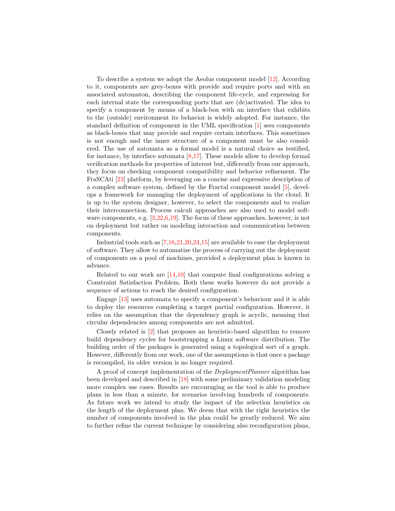To describe a system we adopt the Aeolus component model [\[12\]](#page-18-4). According to it, components are grey-boxes with provide and require ports and with an associated automaton, describing the component life-cycle, and expressing for each internal state the corresponding ports that are (de)activated. The idea to specify a component by means of a black-box with an interface that exhibits to the (outside) environment its behavior is widely adopted. For instance, the standard definition of component in the UML specification [\[1\]](#page-18-6) sees components as black-boxes that may provide and require certain interfaces. This sometimes is not enough and the inner structure of a component must be also considered. The use of automata as a formal model is a natural choice as testified, for instance, by interface automata  $[8,17]$  $[8,17]$ . These models allow to develop formal verification methods for properties of interest but, differently from our approach, they focus on checking component compatibility and behavior refinement. The FraSCAti [\[23\]](#page-19-1) platform, by leveraging on a concise and expressive description of a complex software system, defined by the Fractal component model [\[5\]](#page-18-9), develops a framework for managing the deployment of applications in the cloud. It is up to the system designer, however, to select the components and to realize their interconnection. Process calculi approaches are also used to model soft-ware components, e.g. [\[3](#page-18-10)[,22,](#page-19-2)[6,](#page-18-11)[19\]](#page-19-3). The focus of these approaches, however, is not on deployment but rather on modeling interaction and communication between components.

Industrial tools such as [\[7](#page-18-12)[,16,](#page-18-13)[21,](#page-19-4)[20,](#page-19-5)[24](#page-19-6)[,15\]](#page-18-0) are available to ease the deployment of software. They allow to automatize the process of carrying out the deployment of components on a pool of machines, provided a deployment plan is known in advance.

Related to our work are [\[14](#page-18-14)[,10\]](#page-18-15) that compute final configurations solving a Constraint Satisfaction Problem. Both these works however do not provide a sequence of actions to reach the desired configuration.

Engage [\[13\]](#page-18-1) uses automata to specify a component's behaviour and it is able to deploy the resources completing a target partial configuration. However, it relies on the assumption that the dependency graph is acyclic, meaning that circular dependencies among components are not admitted.

Closely related is [\[2\]](#page-18-16) that proposes an heuristic-based algorithm to remove build dependency cycles for bootstrapping a Linux software distribution. The building order of the packages is generated using a topological sort of a graph. However, differently from our work, one of the assumptions is that once a package is recompiled, its older version is no longer required.

A proof of concept implementation of the DeploymentPlanner algorithm has been developed and described in [\[18\]](#page-19-0) with some preliminary validation modeling more complex use cases. Results are encouraging as the tool is able to produce plans in less than a minute, for scenarios involving hundreds of components. As future work we intend to study the impact of the selection heuristics on the length of the deployment plan. We deem that with the right heuristics the number of components involved in the plan could be greatly reduced. We aim to further refine the current technique by considering also reconfiguration plans,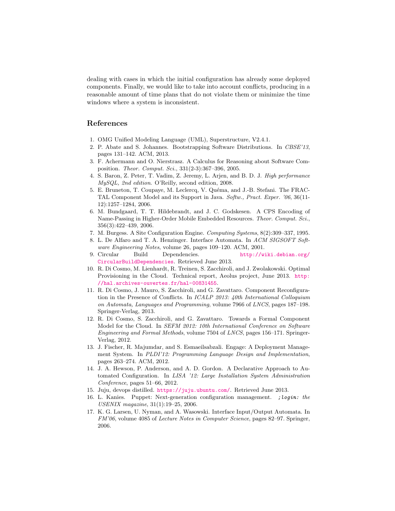dealing with cases in which the initial configuration has already some deployed components. Finally, we would like to take into account conflicts, producing in a reasonable amount of time plans that do not violate them or minimize the time windows where a system is inconsistent.

# References

- <span id="page-18-6"></span>1. OMG Unified Modeling Language (UML), Superstructure, V2.4.1.
- <span id="page-18-16"></span>2. P. Abate and S. Johannes. Bootstrapping Software Distributions. In *CBSE'13*, pages 131–142. ACM, 2013.
- <span id="page-18-10"></span>3. F. Achermann and O. Nierstrasz. A Calculus for Reasoning about Software Composition. *Theor. Comput. Sci.*, 331(2-3):367–396, 2005.
- <span id="page-18-3"></span>4. S. Baron, Z. Peter, T. Vadim, Z. Jeremy, L. Arjen, and B. D. J. *High performance MySQL, 2nd edition*. O'Reilly, second edition, 2008.
- <span id="page-18-9"></span>5. E. Bruneton, T. Coupaye, M. Leclercq, V. Quéma, and J.-B. Stefani. The FRAC-TAL Component Model and its Support in Java. *Softw., Pract. Exper. '06*, 36(11- 12):1257–1284, 2006.
- <span id="page-18-11"></span>6. M. Bundgaard, T. T. Hildebrandt, and J. C. Godskesen. A CPS Encoding of Name-Passing in Higher-Order Mobile Embedded Resources. *Theor. Comput. Sci.*, 356(3):422–439, 2006.
- <span id="page-18-12"></span>7. M. Burgess. A Site Configuration Engine. *Computing Systems*, 8(2):309–337, 1995.
- <span id="page-18-7"></span>8. L. De Alfaro and T. A. Henzinger. Interface Automata. In *ACM SIGSOFT Software Engineering Notes*, volume 26, pages 109–120. ACM, 2001.
- <span id="page-18-2"></span>9. Circular Build Dependencies. [http://wiki.debian.org/](http://wiki.debian.org/CircularBuildDependencies) [CircularBuildDependencies](http://wiki.debian.org/CircularBuildDependencies). Retrieved June 2013.
- <span id="page-18-15"></span>10. R. Di Cosmo, M. Lienhardt, R. Treinen, S. Zacchiroli, and J. Zwolakowski. Optimal Provisioning in the Cloud. Technical report, Aeolus project, June 2013. [http:](http://hal.archives-ouvertes.fr/hal-00831455) [//hal.archives-ouvertes.fr/hal-00831455](http://hal.archives-ouvertes.fr/hal-00831455).
- <span id="page-18-5"></span>11. R. Di Cosmo, J. Mauro, S. Zacchiroli, and G. Zavattaro. Component Reconfiguration in the Presence of Conflicts. In *ICALP 2013: 40th International Colloquium on Automata, Languages and Programming*, volume 7966 of *LNCS*, pages 187–198. Springer-Verlag, 2013.
- <span id="page-18-4"></span>12. R. Di Cosmo, S. Zacchiroli, and G. Zavattaro. Towards a Formal Component Model for the Cloud. In *SEFM 2012: 10th International Conference on Software Engineering and Formal Methods*, volume 7504 of *LNCS*, pages 156–171. Springer-Verlag, 2012.
- <span id="page-18-1"></span>13. J. Fischer, R. Majumdar, and S. Esmaeilsabzali. Engage: A Deployment Management System. In *PLDI'12: Programming Language Design and Implementation*, pages 263–274. ACM, 2012.
- <span id="page-18-14"></span>14. J. A. Hewson, P. Anderson, and A. D. Gordon. A Declarative Approach to Automated Configuration. In *LISA '12: Large Installation System Administration Conference*, pages 51–66, 2012.
- <span id="page-18-0"></span>15. Juju, devops distilled. <https://juju.ubuntu.com/>. Retrieved June 2013.
- <span id="page-18-13"></span>16. L. Kanies. Puppet: Next-generation configuration management. ;login: *the USENIX magazine*, 31(1):19–25, 2006.
- <span id="page-18-8"></span>17. K. G. Larsen, U. Nyman, and A. Wasowski. Interface Input/Output Automata. In *FM'06*, volume 4085 of *Lecture Notes in Computer Science*, pages 82–97. Springer, 2006.